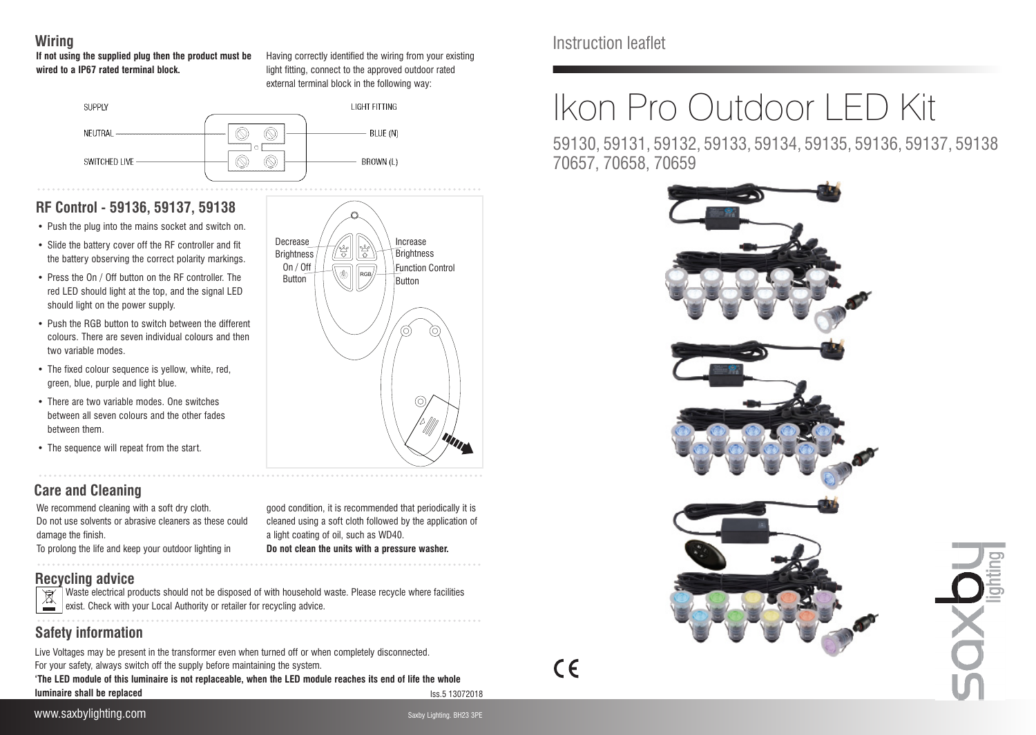## **Wiring**

#### **If not using the supplied plug then the product must be wired to a IP67 rated terminal block.**

Having correctly identified the wiring from your existing light fitting, connect to the approved outdoor rated external terminal block in the following way:

RGB

721 ∤ధి

Increase **Brightness** Function Control Button

On / Off **Button** 

Decrease **Brightness** 



# **RF Control - 59136, 59137, 59138**

- Push the plug into the mains socket and switch on.
- Slide the battery cover off the RF controller and fit the battery observing the correct polarity markings.
- Press the On / Off button on the RF controller. The red LED should light at the top, and the signal LED should light on the power supply.
- Push the RGB button to switch between the different colours. There are seven individual colours and then two variable modes
- The fixed colour sequence is yellow, white, red, green, blue, purple and light blue.
- There are two variable modes. One switches between all seven colours and the other fades between them.
- The sequence will repeat from the start.

# **Care and Cleaning**

We recommend cleaning with a soft dry cloth. Do not use solvents or abrasive cleaners as these could damage the finish. To prolong the life and keep your outdoor lighting in

good condition, it is recommended that periodically it is cleaned using a soft cloth followed by the application of a light coating of oil, such as WD40. **Do not clean the units with a pressure washer.**

## **Recycling advice**

Waste electrical products should not be disposed of with household waste. Please recycle where facilities exist. Check with your Local Authority or retailer for recycling advice. **Contract Contract** 

# **Safety information**

Live Voltages may be present in the transformer even when turned off or when completely disconnected. For your safety, always switch off the supply before maintaining the system. **'The LED module of this luminaire is not replaceable, when the LED module reaches its end of life the whole luminaire shall be replaced**

Iss.5 13072018

# www.saxbylighting.com Saxby Lighting.com Saxby Lighting. BH23 3PE



Instruction leaflet

# Ikon Pro Outdoor LED Kit

59130, 59131, 59132, 59133, 59134, 59135, 59136, 59137, 59138 70657, 70658, 70659